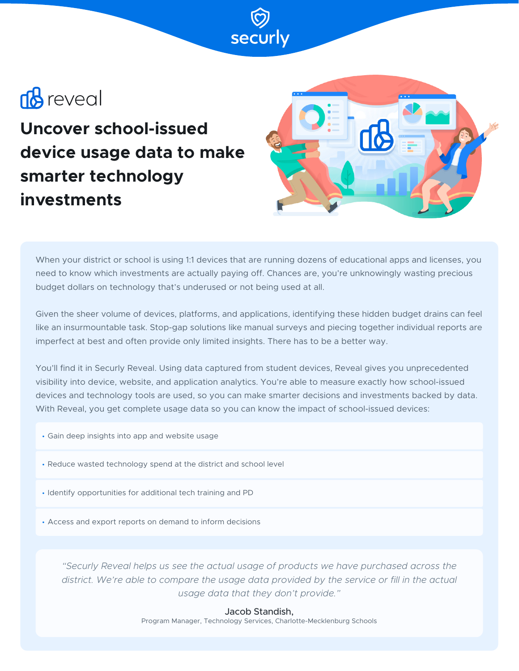# **B** reveal

**Uncover school-issued device usage data to make smarter technology investments**



When your district or school is using 1:1 devices that are running dozens of educational apps and licenses, you need to know which investments are actually paying off. Chances are, you're unknowingly wasting precious budget dollars on technology that's underused or not being used at all.

Given the sheer volume of devices, platforms, and applications, identifying these hidden budget drains can feel like an insurmountable task. Stop-gap solutions like manual surveys and piecing together individual reports are imperfect at best and often provide only limited insights. There has to be a better way.

You'll find it in Securly Reveal. Using data captured from student devices, Reveal gives you unprecedented visibility into device, website, and application analytics. You're able to measure exactly how school-issued devices and technology tools are used, so you can make smarter decisions and investments backed by data. With Reveal, you get complete usage data so you can know the impact of school-issued devices:

- Gain deep insights into app and website usage
- Reduce wasted technology spend at the district and school level
- Identify opportunities for additional tech training and PD
- Access and export reports on demand to inform decisions

*"Securly Reveal helps us see the actual usage of products we have purchased across the*  district. We're able to compare the usage data provided by the service or fill in the actual *usage data that they don't provide."*

Jacob Standish,

Program Manager, Technology Services, Charlotte-Mecklenburg Schools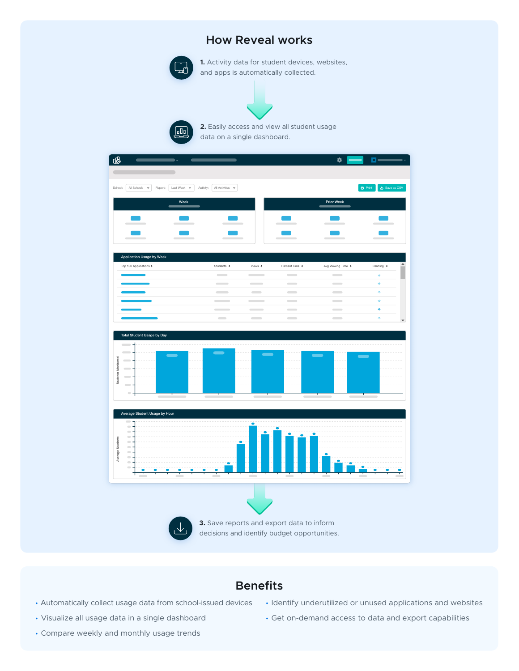## **How Reveal works**



 $\sqrt{d}$ 

**1.** Activity data for student devices, websites, and apps is automatically collected.

**2.** Easily access and view all student usage data on a single dashboard.

| ൕ                                                                                                        |                                |                                                      |                               |                                           | ₩                                              | oe                                                   |
|----------------------------------------------------------------------------------------------------------|--------------------------------|------------------------------------------------------|-------------------------------|-------------------------------------------|------------------------------------------------|------------------------------------------------------|
|                                                                                                          |                                |                                                      |                               |                                           |                                                |                                                      |
| School:<br>All Schools<br>Report:<br>$\check{}$                                                          | Last Week $\quad$<br>Activity: | All Activities $\quad$ $\bullet$                     |                               |                                           |                                                | $\triangle$ Save as CSV<br>$\overline{\Theta}$ Print |
|                                                                                                          |                                |                                                      |                               |                                           |                                                |                                                      |
|                                                                                                          | Week                           |                                                      |                               |                                           | Prior Week                                     |                                                      |
|                                                                                                          |                                |                                                      |                               |                                           |                                                |                                                      |
|                                                                                                          |                                |                                                      |                               |                                           |                                                |                                                      |
|                                                                                                          |                                |                                                      |                               |                                           |                                                |                                                      |
|                                                                                                          |                                |                                                      |                               |                                           |                                                |                                                      |
| Application Usage by Week                                                                                |                                |                                                      |                               |                                           |                                                |                                                      |
| Top 100 Applications *                                                                                   |                                | Students $\div$<br>$\sim$                            | Views $\div$<br>$\sim$        | Percent Time *<br>$\sim$                  | Avg Viewing Time ↓<br>$\overline{\phantom{a}}$ | Trending $\div$<br>ŵ                                 |
|                                                                                                          |                                | $\sim$                                               | $\sim$                        | $\sim$                                    | $\hspace{0.1cm}$                               | ŵ                                                    |
|                                                                                                          |                                | $\overline{\phantom{a}}$<br>$\overline{\phantom{a}}$ | $\sim$                        | $\hspace{0.1cm}$                          | $\hspace{0.1cm}$                               | ٨                                                    |
|                                                                                                          |                                | $\overline{\phantom{a}}$                             | $\overline{\phantom{a}}$<br>٠ | $\sim$                                    | $\sim$                                         | $\bar{\Psi}$                                         |
|                                                                                                          |                                | $\sim$                                               | $\sim$                        | $\overline{\phantom{a}}$                  | $\sim$                                         | ٨                                                    |
|                                                                                                          |                                | $\equiv$                                             | $\sim$                        | $\overline{\phantom{m}}$                  | $\hspace{0.1cm}$                               | Ą                                                    |
| Students Monitored<br>$\sim$<br>$\overline{\phantom{a}}$<br>$\overline{\phantom{0}}$<br>$\blacksquare$   |                                |                                                      |                               |                                           |                                                |                                                      |
|                                                                                                          |                                |                                                      |                               |                                           |                                                |                                                      |
|                                                                                                          |                                |                                                      |                               |                                           |                                                |                                                      |
| Average Student Usage by Hour                                                                            |                                |                                                      |                               |                                           |                                                |                                                      |
| $\qquad \qquad \blacksquare$<br>$\equiv$                                                                 |                                |                                                      | ۳                             |                                           |                                                |                                                      |
| $\qquad \qquad \blacksquare$<br>$\qquad \qquad \blacksquare$                                             |                                |                                                      |                               |                                           |                                                |                                                      |
| Average Students<br>$\hskip10pt\hskip10pt\hskip10pt\hskip10pt\hskip10pt$<br>$\qquad \qquad \blacksquare$ |                                |                                                      |                               |                                           |                                                |                                                      |
|                                                                                                          |                                |                                                      |                               |                                           |                                                |                                                      |
| $\equiv$                                                                                                 |                                |                                                      |                               |                                           |                                                |                                                      |
| $\hfill \blacksquare$<br>$\qquad \qquad \blacksquare$                                                    |                                |                                                      |                               |                                           |                                                |                                                      |
| ↑                                                                                                        |                                |                                                      |                               |                                           |                                                |                                                      |
|                                                                                                          |                                |                                                      |                               |                                           |                                                |                                                      |
|                                                                                                          |                                |                                                      |                               |                                           |                                                |                                                      |
|                                                                                                          |                                |                                                      |                               | 3. Save reports and export data to inform |                                                |                                                      |

## **Benefits**

- Automatically collect usage data from school-issued devices
- Visualize all usage data in a single dashboard
- Compare weekly and monthly usage trends
- Identify underutilized or unused applications and websites
- Get on-demand access to data and export capabilities